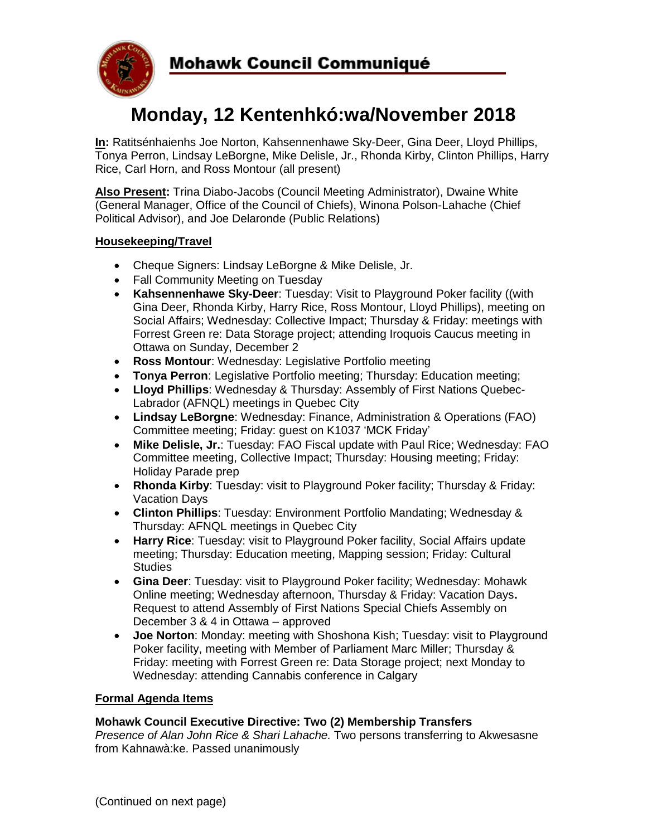

# **Monday, 12 Kentenhkó:wa/November 2018**

**In:** Ratitsénhaienhs Joe Norton, Kahsennenhawe Sky-Deer, Gina Deer, Lloyd Phillips, Tonya Perron, Lindsay LeBorgne, Mike Delisle, Jr., Rhonda Kirby, Clinton Phillips, Harry Rice, Carl Horn, and Ross Montour (all present)

**Also Present:** Trina Diabo-Jacobs (Council Meeting Administrator), Dwaine White (General Manager, Office of the Council of Chiefs), Winona Polson-Lahache (Chief Political Advisor), and Joe Delaronde (Public Relations)

## **Housekeeping/Travel**

- Cheque Signers: Lindsay LeBorgne & Mike Delisle, Jr.
- Fall Community Meeting on Tuesday
- **Kahsennenhawe Sky-Deer**: Tuesday: Visit to Playground Poker facility ((with Gina Deer, Rhonda Kirby, Harry Rice, Ross Montour, Lloyd Phillips), meeting on Social Affairs; Wednesday: Collective Impact; Thursday & Friday: meetings with Forrest Green re: Data Storage project; attending Iroquois Caucus meeting in Ottawa on Sunday, December 2
- **Ross Montour**: Wednesday: Legislative Portfolio meeting
- **Tonya Perron**: Legislative Portfolio meeting; Thursday: Education meeting;
- **Lloyd Phillips**: Wednesday & Thursday: Assembly of First Nations Quebec-Labrador (AFNQL) meetings in Quebec City
- **Lindsay LeBorgne**: Wednesday: Finance, Administration & Operations (FAO) Committee meeting; Friday: guest on K1037 'MCK Friday'
- **Mike Delisle, Jr.**: Tuesday: FAO Fiscal update with Paul Rice; Wednesday: FAO Committee meeting, Collective Impact; Thursday: Housing meeting; Friday: Holiday Parade prep
- **Rhonda Kirby**: Tuesday: visit to Playground Poker facility; Thursday & Friday: Vacation Days
- **Clinton Phillips**: Tuesday: Environment Portfolio Mandating; Wednesday & Thursday: AFNQL meetings in Quebec City
- **Harry Rice**: Tuesday: visit to Playground Poker facility, Social Affairs update meeting; Thursday: Education meeting, Mapping session; Friday: Cultural **Studies**
- **Gina Deer**: Tuesday: visit to Playground Poker facility; Wednesday: Mohawk Online meeting; Wednesday afternoon, Thursday & Friday: Vacation Days**.** Request to attend Assembly of First Nations Special Chiefs Assembly on December 3 & 4 in Ottawa – approved
- **Joe Norton**: Monday: meeting with Shoshona Kish; Tuesday: visit to Playground Poker facility, meeting with Member of Parliament Marc Miller; Thursday & Friday: meeting with Forrest Green re: Data Storage project; next Monday to Wednesday: attending Cannabis conference in Calgary

#### **Formal Agenda Items**

#### **Mohawk Council Executive Directive: Two (2) Membership Transfers**

*Presence of Alan John Rice & Shari Lahache.* Two persons transferring to Akwesasne from Kahnawà:ke. Passed unanimously